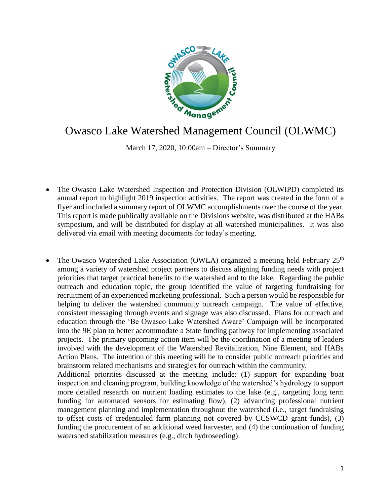

## Owasco Lake Watershed Management Council (OLWMC)

March 17, 2020, 10:00am – Director's Summary

- The Owasco Lake Watershed Inspection and Protection Division (OLWIPD) completed its annual report to highlight 2019 inspection activities. The report was created in the form of a flyer and included a summary report of OLWMC accomplishments over the course of the year. This report is made publically available on the Divisions website, was distributed at the HABs symposium, and will be distributed for display at all watershed municipalities. It was also delivered via email with meeting documents for today's meeting.
- The Owasco Watershed Lake Association (OWLA) organized a meeting held February 25<sup>th</sup> among a variety of watershed project partners to discuss aligning funding needs with project priorities that target practical benefits to the watershed and to the lake. Regarding the public outreach and education topic, the group identified the value of targeting fundraising for recruitment of an experienced marketing professional. Such a person would be responsible for helping to deliver the watershed community outreach campaign. The value of effective, consistent messaging through events and signage was also discussed. Plans for outreach and education through the 'Be Owasco Lake Watershed Aware' Campaign will be incorporated into the 9E plan to better accommodate a State funding pathway for implementing associated projects. The primary upcoming action item will be the coordination of a meeting of leaders involved with the development of the Watershed Revitalization, Nine Element, and HABs Action Plans. The intention of this meeting will be to consider public outreach priorities and brainstorm related mechanisms and strategies for outreach within the community. Additional priorities discussed at the meeting include: (1) support for expanding boat inspection and cleaning program, building knowledge of the watershed's hydrology to support more detailed research on nutrient loading estimates to the lake (e.g., targeting long term funding for automated sensors for estimating flow), (2) advancing professional nutrient management planning and implementation throughout the watershed (i.e., target fundraising to offset costs of credentialed farm planning not covered by CCSWCD grant funds), (3) funding the procurement of an additional weed harvester, and (4) the continuation of funding

watershed stabilization measures (e.g., ditch hydroseeding).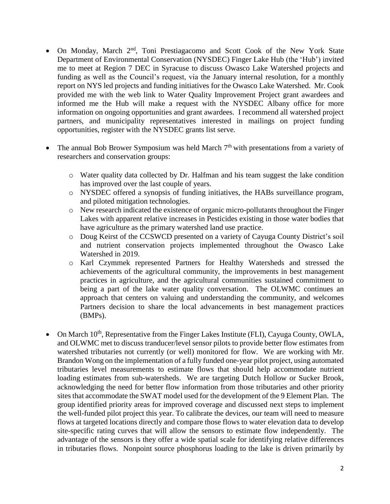- On Monday, March 2<sup>nd</sup>, Toni Prestiagacomo and Scott Cook of the New York State Department of Environmental Conservation (NYSDEC) Finger Lake Hub (the 'Hub') invited me to meet at Region 7 DEC in Syracuse to discuss Owasco Lake Watershed projects and funding as well as the Council's request, via the January internal resolution, for a monthly report on NYS led projects and funding initiatives for the Owasco Lake Watershed. Mr. Cook provided me with the web link to Water Quality Improvement Project grant awardees and informed me the Hub will make a request with the NYSDEC Albany office for more information on ongoing opportunities and grant awardees. I recommend all watershed project partners, and municipality representatives interested in mailings on project funding opportunities, register with the NYSDEC grants list serve.
- The annual Bob Brower Symposium was held March 7<sup>th</sup> with presentations from a variety of researchers and conservation groups:
	- o Water quality data collected by Dr. Halfman and his team suggest the lake condition has improved over the last couple of years.
	- o NYSDEC offered a synopsis of funding initiatives, the HABs surveillance program, and piloted mitigation technologies.
	- o New research indicated the existence of organic micro-pollutants throughout the Finger Lakes with apparent relative increases in Pesticides existing in those water bodies that have agriculture as the primary watershed land use practice.
	- o Doug Keirst of the CCSWCD presented on a variety of Cayuga County District's soil and nutrient conservation projects implemented throughout the Owasco Lake Watershed in 2019.
	- o Karl Czymmek represented Partners for Healthy Watersheds and stressed the achievements of the agricultural community, the improvements in best management practices in agriculture, and the agricultural communities sustained commitment to being a part of the lake water quality conversation. The OLWMC continues an approach that centers on valuing and understanding the community, and welcomes Partners decision to share the local advancements in best management practices (BMPs).
- On March 10<sup>th</sup>, Representative from the Finger Lakes Institute (FLI), Cayuga County, OWLA, and OLWMC met to discuss tranducer/level sensor pilots to provide better flow estimates from watershed tributaries not currently (or well) monitored for flow. We are working with Mr. Brandon Wong on the implementation of a fully funded one-year pilot project, using automated tributaries level measurements to estimate flows that should help accommodate nutrient loading estimates from sub-watersheds. We are targeting Dutch Hollow or Sucker Brook, acknowledging the need for better flow information from those tributaries and other priority sites that accommodate the SWAT model used for the development of the 9 Element Plan. The group identified priority areas for improved coverage and discussed next steps to implement the well-funded pilot project this year. To calibrate the devices, our team will need to measure flows at targeted locations directly and compare those flows to water elevation data to develop site-specific rating curves that will allow the sensors to estimate flow independently. The advantage of the sensors is they offer a wide spatial scale for identifying relative differences in tributaries flows. Nonpoint source phosphorus loading to the lake is driven primarily by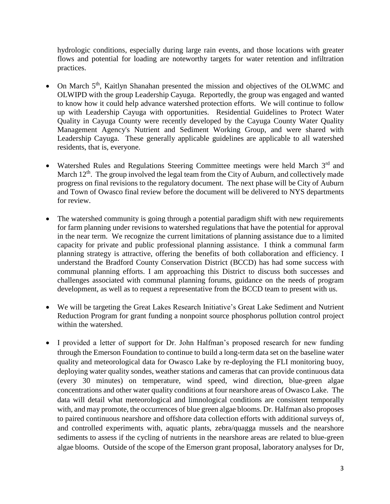hydrologic conditions, especially during large rain events, and those locations with greater flows and potential for loading are noteworthy targets for water retention and infiltration practices.

- On March 5<sup>th</sup>, Kaitlyn Shanahan presented the mission and objectives of the OLWMC and OLWIPD with the group Leadership Cayuga. Reportedly, the group was engaged and wanted to know how it could help advance watershed protection efforts. We will continue to follow up with Leadership Cayuga with opportunities. Residential Guidelines to Protect Water Quality in Cayuga County were recently developed by the Cayuga County Water Quality Management Agency's Nutrient and Sediment Working Group, and were shared with Leadership Cayuga. These generally applicable guidelines are applicable to all watershed residents, that is, everyone.
- Watershed Rules and Regulations Steering Committee meetings were held March  $3<sup>rd</sup>$  and March  $12<sup>th</sup>$ . The group involved the legal team from the City of Auburn, and collectively made progress on final revisions to the regulatory document. The next phase will be City of Auburn and Town of Owasco final review before the document will be delivered to NYS departments for review.
- The watershed community is going through a potential paradigm shift with new requirements for farm planning under revisions to watershed regulations that have the potential for approval in the near term. We recognize the current limitations of planning assistance due to a limited capacity for private and public professional planning assistance. I think a communal farm planning strategy is attractive, offering the benefits of both collaboration and efficiency. I understand the Bradford County Conservation District (BCCD) has had some success with communal planning efforts. I am approaching this District to discuss both successes and challenges associated with communal planning forums, guidance on the needs of program development, as well as to request a representative from the BCCD team to present with us.
- We will be targeting the Great Lakes Research Initiative's Great Lake Sediment and Nutrient Reduction Program for grant funding a nonpoint source phosphorus pollution control project within the watershed.
- I provided a letter of support for Dr. John Halfman's proposed research for new funding through the Emerson Foundation to continue to build a long-term data set on the baseline water quality and meteorological data for Owasco Lake by re-deploying the FLI monitoring buoy, deploying water quality sondes, weather stations and cameras that can provide continuous data (every 30 minutes) on temperature, wind speed, wind direction, blue-green algae concentrations and other water quality conditions at four nearshore areas of Owasco Lake. The data will detail what meteorological and limnological conditions are consistent temporally with, and may promote, the occurrences of blue green algae blooms. Dr. Halfman also proposes to paired continuous nearshore and offshore data collection efforts with additional surveys of, and controlled experiments with, aquatic plants, zebra/quagga mussels and the nearshore sediments to assess if the cycling of nutrients in the nearshore areas are related to blue-green algae blooms. Outside of the scope of the Emerson grant proposal, laboratory analyses for Dr,